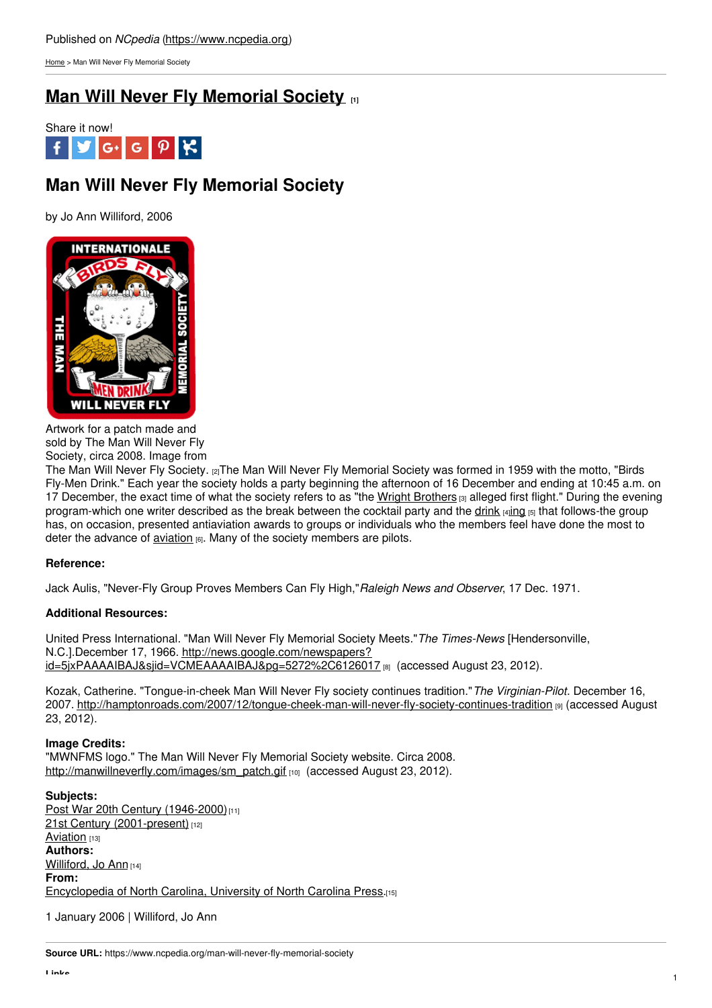[Home](https://www.ncpedia.org/) > Man Will Never Fly Memorial Society

## **Man Will Never Fly [Memorial](https://www.ncpedia.org/man-will-never-fly-memorial-society) Society [1]**



# **Man Will Never Fly Memorial Society**

by Jo Ann Williford, 2006



Artwork for a patch made and sold by The Man Will Never Fly Society, circa 2008. Image from

The Man Will Never Fly [Society.](http://manwillneverfly.com/Memorabilia.htm) [2]The Man Will Never Fly Memorial Society was formed in 1959 with the motto, "Birds Fly-Men Drink." Each year the society holds a party beginning the afternoon of 16 December and ending at 10:45 a.m. on 17 December, the exact time of what the society refers to as "the Wright [Brothers](https://www.ncpedia.org/aviation/wright-brothers) [3] alleged first flight." During the evening program-which one writer described as the break between the cocktail party and the [drink](https://www.ncpedia.org/culture/food/beer) [4][ing](https://www.ncpedia.org/wine-and-wine-making) [5] that follows-the group has, on occasion, presented antiaviation awards to groups or individuals who the members feel have done the most to deter the advance of  $\frac{aviation}{16}$  $\frac{aviation}{16}$  $\frac{aviation}{16}$ . Many of the society members are pilots.

### **Reference:**

Jack Aulis, "Never-Fly Group Proves Members Can Fly High,"*Raleigh News and Observer*, 17 Dec. 1971.

### **Additional Resources:**

United Press International. "Man Will Never Fly Memorial Society Meets."*The Times-News* [Hendersonville, N.C.].December 17, 1966. http://news.google.com/newspapers? [id=5jxPAAAAIBAJ&sjid=VCMEAAAAIBAJ&pg=5272%2C6126017](http://news.google.com/newspapers?id=5jxPAAAAIBAJ&sjid=VCMEAAAAIBAJ&pg=5272%2C6126017) [8] (accessed August 23, 2012).

Kozak, Catherine. "Tongue-in-cheek Man Will Never Fly society continues tradition."*The Virginian-Pilot*. December 16, 2007. <http://hamptonroads.com/2007/12/tongue-cheek-man-will-never-fly-society-continues-tradition> [9] (accessed August 23, 2012).

### **Image Credits:**

"MWNFMS logo." The Man Will Never Fly Memorial Society website. Circa 2008. [http://manwillneverfly.com/images/sm\\_patch.gif](http://manwillneverfly.com/images/sm_patch.gif) [10] (accessed August 23, 2012).

**Subjects:** Post War 20th Century [\(1946-2000\)](https://www.ncpedia.org/category/subjects/post-war-20th-cen)<sup>[11]</sup> 21st Century [\(2001-present\)](https://www.ncpedia.org/category/subjects/21st-century-2001) [12] [Aviation](https://www.ncpedia.org/category/subjects/air-travel) [13] **Authors:** [Williford,](https://www.ncpedia.org/category/authors/williford-jo-ann) Jo Ann [14] **From:** [Encyclopedia](https://www.ncpedia.org/category/entry-source/encyclopedia-) of North Carolina, University of North Carolina Press.[15]

1 January 2006 | Williford, Jo Ann

**Source URL:** https://www.ncpedia.org/man-will-never-fly-memorial-society